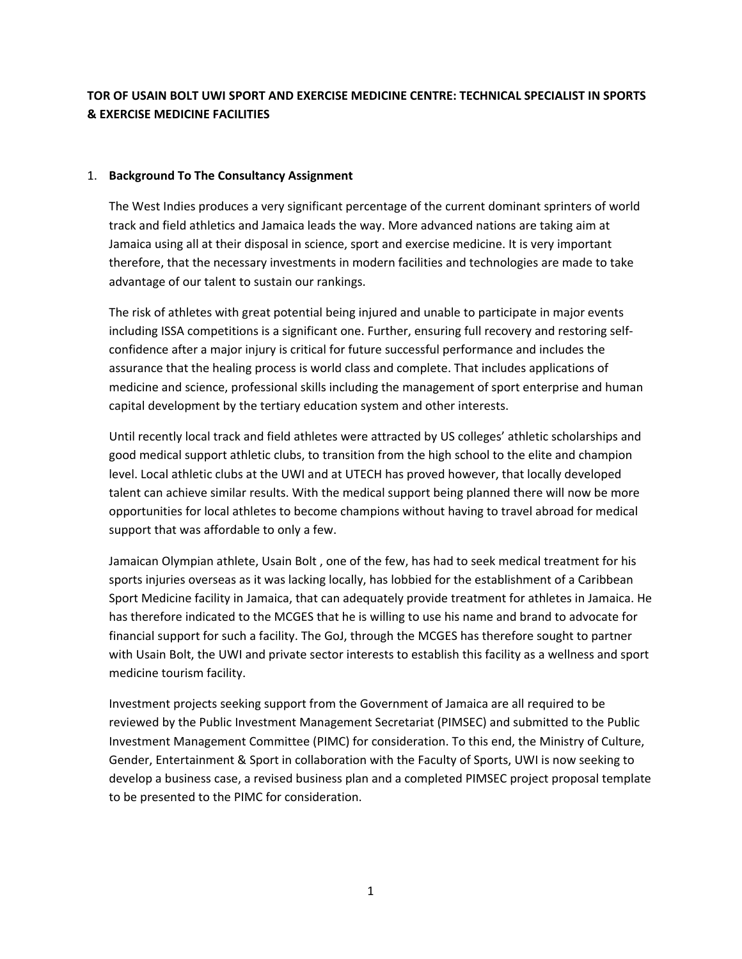# **TOR OF USAIN BOLT UWI SPORT AND EXERCISE MEDICINE CENTRE: TECHNICAL SPECIALIST IN SPORTS & EXERCISE MEDICINE FACILITIES**

#### 1. **Background To The Consultancy Assignment**

The West Indies produces a very significant percentage of the current dominant sprinters of world track and field athletics and Jamaica leads the way. More advanced nations are taking aim at Jamaica using all at their disposal in science, sport and exercise medicine. It is very important therefore, that the necessary investments in modern facilities and technologies are made to take advantage of our talent to sustain our rankings.

The risk of athletes with great potential being injured and unable to participate in major events including ISSA competitions is a significant one. Further, ensuring full recovery and restoring self‐ confidence after a major injury is critical for future successful performance and includes the assurance that the healing process is world class and complete. That includes applications of medicine and science, professional skills including the management of sport enterprise and human capital development by the tertiary education system and other interests.

Until recently local track and field athletes were attracted by US colleges' athletic scholarships and good medical support athletic clubs, to transition from the high school to the elite and champion level. Local athletic clubs at the UWI and at UTECH has proved however, that locally developed talent can achieve similar results. With the medical support being planned there will now be more opportunities for local athletes to become champions without having to travel abroad for medical support that was affordable to only a few.

Jamaican Olympian athlete, Usain Bolt , one of the few, has had to seek medical treatment for his sports injuries overseas as it was lacking locally, has lobbied for the establishment of a Caribbean Sport Medicine facility in Jamaica, that can adequately provide treatment for athletes in Jamaica. He has therefore indicated to the MCGES that he is willing to use his name and brand to advocate for financial support for such a facility. The GoJ, through the MCGES has therefore sought to partner with Usain Bolt, the UWI and private sector interests to establish this facility as a wellness and sport medicine tourism facility.

Investment projects seeking support from the Government of Jamaica are all required to be reviewed by the Public Investment Management Secretariat (PIMSEC) and submitted to the Public Investment Management Committee (PIMC) for consideration. To this end, the Ministry of Culture, Gender, Entertainment & Sport in collaboration with the Faculty of Sports, UWI is now seeking to develop a business case, a revised business plan and a completed PIMSEC project proposal template to be presented to the PIMC for consideration.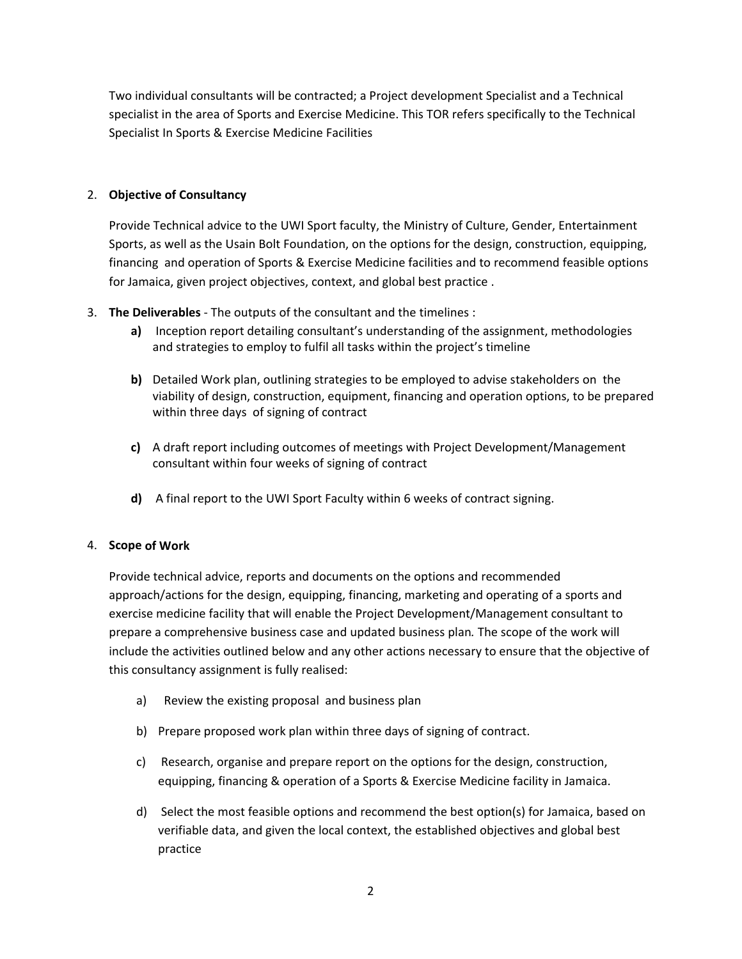Two individual consultants will be contracted; a Project development Specialist and a Technical specialist in the area of Sports and Exercise Medicine. This TOR refers specifically to the Technical Specialist In Sports & Exercise Medicine Facilities

### 2. **Objective of Consultancy**

Provide Technical advice to the UWI Sport faculty, the Ministry of Culture, Gender, Entertainment Sports, as well as the Usain Bolt Foundation, on the options for the design, construction, equipping, financing and operation of Sports & Exercise Medicine facilities and to recommend feasible options for Jamaica, given project objectives, context, and global best practice .

- 3. **The Deliverables** ‐ The outputs of the consultant and the timelines :
	- **a)** Inception report detailing consultant's understanding of the assignment, methodologies and strategies to employ to fulfil all tasks within the project's timeline
	- **b)** Detailed Work plan, outlining strategies to be employed to advise stakeholders on the viability of design, construction, equipment, financing and operation options, to be prepared within three days of signing of contract
	- **c)** A draft report including outcomes of meetings with Project Development/Management consultant within four weeks of signing of contract
	- **d)** A final report to the UWI Sport Faculty within 6 weeks of contract signing.

#### 4. **Scope of Work**

Provide technical advice, reports and documents on the options and recommended approach/actions for the design, equipping, financing, marketing and operating of a sports and exercise medicine facility that will enable the Project Development/Management consultant to prepare a comprehensive business case and updated business plan*.* The scope of the work will include the activities outlined below and any other actions necessary to ensure that the objective of this consultancy assignment is fully realised:

- a) Review the existing proposal and business plan
- b) Prepare proposed work plan within three days of signing of contract.
- c) Research, organise and prepare report on the options for the design, construction, equipping, financing & operation of a Sports & Exercise Medicine facility in Jamaica.
- d) Select the most feasible options and recommend the best option(s) for Jamaica, based on verifiable data, and given the local context, the established objectives and global best practice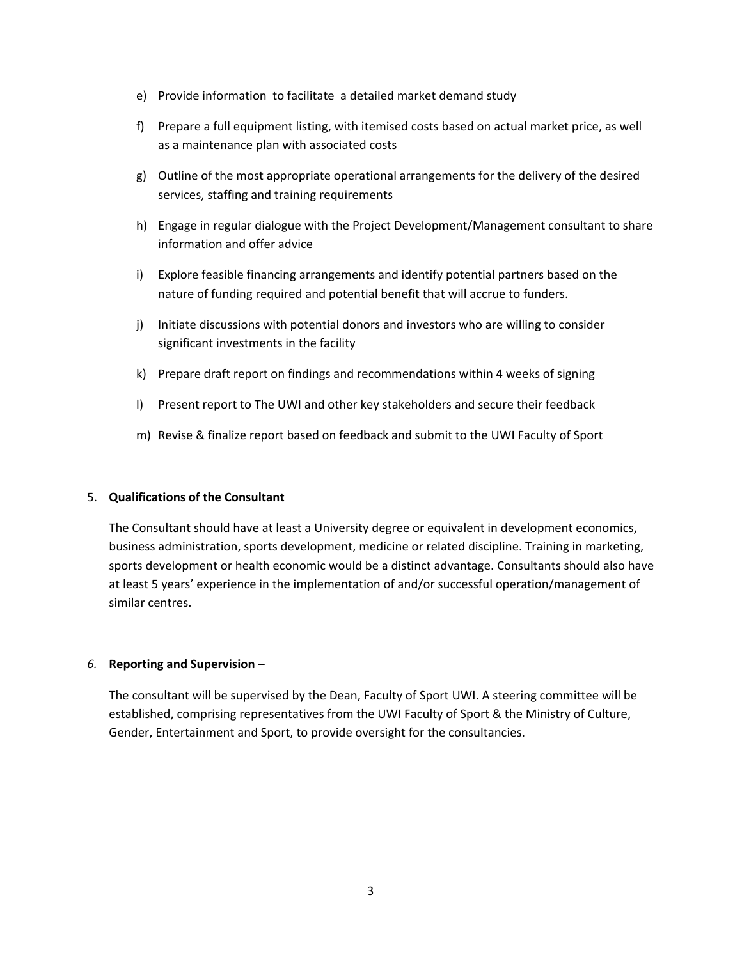- e) Provide information to facilitate a detailed market demand study
- f) Prepare a full equipment listing, with itemised costs based on actual market price, as well as a maintenance plan with associated costs
- g) Outline of the most appropriate operational arrangements for the delivery of the desired services, staffing and training requirements
- h) Engage in regular dialogue with the Project Development/Management consultant to share information and offer advice
- i) Explore feasible financing arrangements and identify potential partners based on the nature of funding required and potential benefit that will accrue to funders.
- j) Initiate discussions with potential donors and investors who are willing to consider significant investments in the facility
- k) Prepare draft report on findings and recommendations within 4 weeks of signing
- l) Present report to The UWI and other key stakeholders and secure their feedback
- m) Revise & finalize report based on feedback and submit to the UWI Faculty of Sport

#### 5. **Qualifications of the Consultant**

The Consultant should have at least a University degree or equivalent in development economics, business administration, sports development, medicine or related discipline. Training in marketing, sports development or health economic would be a distinct advantage. Consultants should also have at least 5 years' experience in the implementation of and/or successful operation/management of similar centres.

#### *6.* **Reporting and Supervision** *–*

The consultant will be supervised by the Dean, Faculty of Sport UWI. A steering committee will be established, comprising representatives from the UWI Faculty of Sport & the Ministry of Culture, Gender, Entertainment and Sport, to provide oversight for the consultancies.